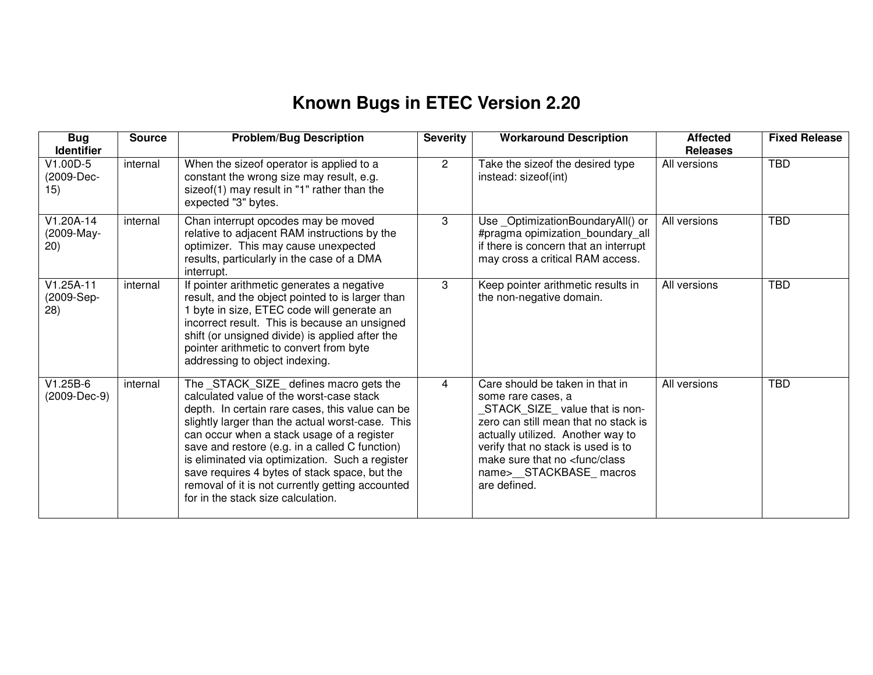## **Known Bugs in ETEC Version 2.20**

| <b>Bug</b><br><b>Identifier</b>   | <b>Source</b> | <b>Problem/Bug Description</b>                                                                                                                                                                                                                                                                                                                                                                                                                                                           | <b>Severity</b> | <b>Workaround Description</b>                                                                                                                                                                                                                                                                       | <b>Affected</b><br><b>Releases</b> | <b>Fixed Release</b> |
|-----------------------------------|---------------|------------------------------------------------------------------------------------------------------------------------------------------------------------------------------------------------------------------------------------------------------------------------------------------------------------------------------------------------------------------------------------------------------------------------------------------------------------------------------------------|-----------------|-----------------------------------------------------------------------------------------------------------------------------------------------------------------------------------------------------------------------------------------------------------------------------------------------------|------------------------------------|----------------------|
| $V1.00D-5$<br>(2009-Dec-<br>15)   | internal      | When the sizeof operator is applied to a<br>constant the wrong size may result, e.g.<br>sizeof(1) may result in "1" rather than the<br>expected "3" bytes.                                                                                                                                                                                                                                                                                                                               | $\overline{2}$  | Take the sizeof the desired type<br>instead: sizeof(int)                                                                                                                                                                                                                                            | All versions                       | <b>TBD</b>           |
| V1.20A-14<br>(2009-May-<br>20)    | internal      | Chan interrupt opcodes may be moved<br>relative to adjacent RAM instructions by the<br>optimizer. This may cause unexpected<br>results, particularly in the case of a DMA<br>interrupt.                                                                                                                                                                                                                                                                                                  | 3               | Use_OptimizationBoundaryAll() or<br>#pragma opimization_boundary_all<br>if there is concern that an interrupt<br>may cross a critical RAM access.                                                                                                                                                   | All versions                       | <b>TBD</b>           |
| $V1.25A-11$<br>(2009-Sep-<br>(28) | internal      | If pointer arithmetic generates a negative<br>result, and the object pointed to is larger than<br>1 byte in size, ETEC code will generate an<br>incorrect result. This is because an unsigned<br>shift (or unsigned divide) is applied after the<br>pointer arithmetic to convert from byte<br>addressing to object indexing.                                                                                                                                                            | 3               | Keep pointer arithmetic results in<br>the non-negative domain.                                                                                                                                                                                                                                      | All versions                       | <b>TBD</b>           |
| $V1.25B-6$<br>(2009-Dec-9)        | internal      | The _STACK_SIZE_ defines macro gets the<br>calculated value of the worst-case stack<br>depth. In certain rare cases, this value can be<br>slightly larger than the actual worst-case. This<br>can occur when a stack usage of a register<br>save and restore (e.g. in a called C function)<br>is eliminated via optimization. Such a register<br>save requires 4 bytes of stack space, but the<br>removal of it is not currently getting accounted<br>for in the stack size calculation. | $\overline{4}$  | Care should be taken in that in<br>some rare cases, a<br>STACK_SIZE_value that is non-<br>zero can still mean that no stack is<br>actually utilized. Another way to<br>verify that no stack is used is to<br>make sure that no <func class<br="">name&gt;__STACKBASE_macros<br/>are defined.</func> | All versions                       | <b>TBD</b>           |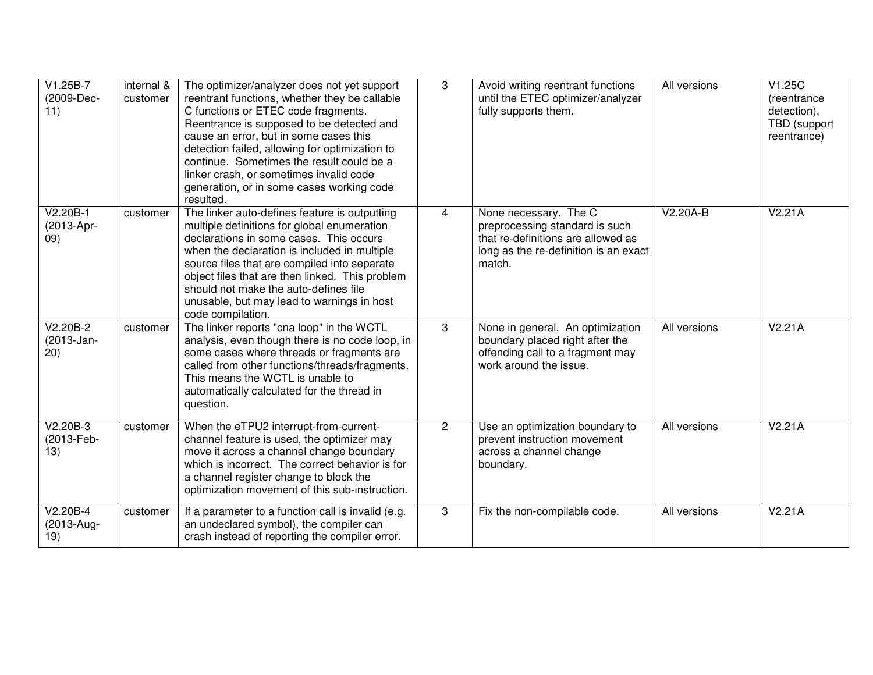| V1.25B-7<br>(2009-Dec-<br>11)    | internal &<br>customer | The optimizer/analyzer does not yet support<br>reentrant functions, whether they be callable<br>C functions or ETEC code fragments.<br>Reentrance is supposed to be detected and<br>cause an error, but in some cases this<br>detection failed, allowing for optimization to<br>continue. Sometimes the result could be a<br>linker crash, or sometimes invalid code<br>generation, or in some cases working code<br>resulted. | 3              | Avoid writing reentrant functions<br>until the ETEC optimizer/analyzer<br>fully supports them.                                                   | All versions | V1.25C<br>(reentrance<br>detection),<br>TBD (support<br>reentrance) |
|----------------------------------|------------------------|--------------------------------------------------------------------------------------------------------------------------------------------------------------------------------------------------------------------------------------------------------------------------------------------------------------------------------------------------------------------------------------------------------------------------------|----------------|--------------------------------------------------------------------------------------------------------------------------------------------------|--------------|---------------------------------------------------------------------|
| $V2.20B-1$<br>(2013-Apr-<br>(09) | customer               | The linker auto-defines feature is outputting<br>multiple definitions for global enumeration<br>declarations in some cases. This occurs<br>when the declaration is included in multiple<br>source files that are compiled into separate<br>object files that are then linked. This problem<br>should not make the auto-defines file<br>unusable, but may lead to warnings in host<br>code compilation.                         | $\overline{4}$ | None necessary. The C<br>preprocessing standard is such<br>that re-definitions are allowed as<br>long as the re-definition is an exact<br>match. | $V2.20A-B$   | V2.21A                                                              |
| $V2.20B-2$<br>(2013-Jan-<br>20)  | customer               | The linker reports "cna loop" in the WCTL<br>analysis, even though there is no code loop, in<br>some cases where threads or fragments are<br>called from other functions/threads/fragments.<br>This means the WCTL is unable to<br>automatically calculated for the thread in<br>question.                                                                                                                                     | 3              | None in general. An optimization<br>boundary placed right after the<br>offending call to a fragment may<br>work around the issue.                | All versions | V2.21A                                                              |
| V2.20B-3<br>(2013-Feb-<br>13)    | customer               | When the eTPU2 interrupt-from-current-<br>channel feature is used, the optimizer may<br>move it across a channel change boundary<br>which is incorrect. The correct behavior is for<br>a channel register change to block the<br>optimization movement of this sub-instruction.                                                                                                                                                | $\overline{2}$ | Use an optimization boundary to<br>prevent instruction movement<br>across a channel change<br>boundary.                                          | All versions | V2.21A                                                              |
| V2.20B-4<br>(2013-Aug-<br>19)    | customer               | If a parameter to a function call is invalid (e.g.<br>an undeclared symbol), the compiler can<br>crash instead of reporting the compiler error.                                                                                                                                                                                                                                                                                | 3              | Fix the non-compilable code.                                                                                                                     | All versions | $\overline{V}$ 2.21A                                                |